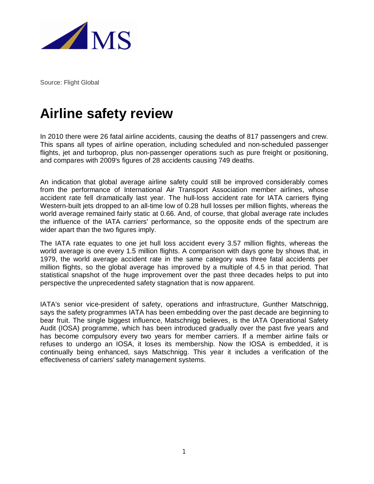

Source: Flight Global

## **Airline safety review**

In 2010 there were 26 fatal airline accidents, causing the deaths of 817 passengers and crew. This spans all types of airline operation, including scheduled and non-scheduled passenger flights, jet and turboprop, plus non-passenger operations such as pure freight or positioning, and compares with 2009's figures of 28 accidents causing 749 deaths.

An indication that global average airline safety could still be improved considerably comes from the performance of International Air Transport Association member airlines, whose accident rate fell dramatically last year. The hull-loss accident rate for IATA carriers flying Western-built jets dropped to an all-time low of 0.28 hull losses per million flights, whereas the world average remained fairly static at 0.66. And, of course, that global average rate includes the influence of the IATA carriers' performance, so the opposite ends of the spectrum are wider apart than the two figures imply.

The IATA rate equates to one jet hull loss accident every 3.57 million flights, whereas the world average is one every 1.5 million flights. A comparison with days gone by shows that, in 1979, the world average accident rate in the same category was three fatal accidents per million flights, so the global average has improved by a multiple of 4.5 in that period. That statistical snapshot of the huge improvement over the past three decades helps to put into perspective the unprecedented safety stagnation that is now apparent.

IATA's senior vice-president of safety, operations and infrastructure, Gunther Matschnigg, says the safety programmes IATA has been embedding over the past decade are beginning to bear fruit. The single biggest influence, Matschnigg believes, is the IATA Operational Safety Audit (IOSA) programme, which has been introduced gradually over the past five years and has become compulsory every two years for member carriers. If a member airline fails or refuses to undergo an IOSA, it loses its membership. Now the IOSA is embedded, it is continually being enhanced, says Matschnigg. This year it includes a verification of the effectiveness of carriers' safety management systems.